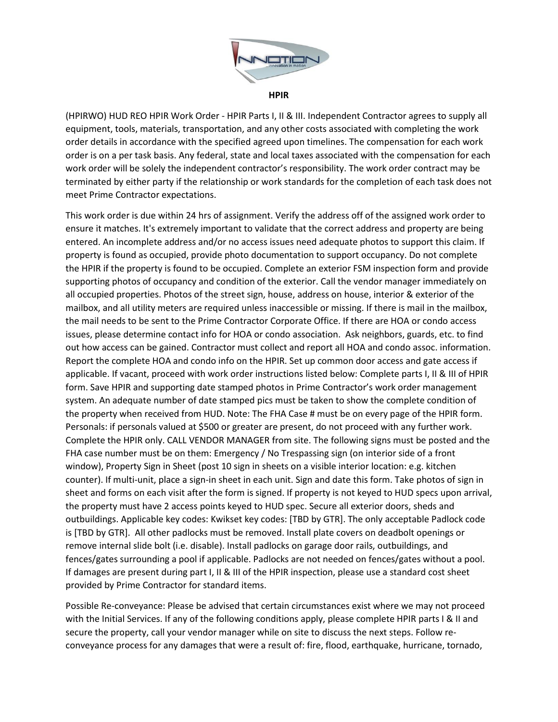

**HPIR**

(HPIRWO) HUD REO HPIR Work Order - HPIR Parts I, II & III. Independent Contractor agrees to supply all equipment, tools, materials, transportation, and any other costs associated with completing the work order details in accordance with the specified agreed upon timelines. The compensation for each work order is on a per task basis. Any federal, state and local taxes associated with the compensation for each work order will be solely the independent contractor's responsibility. The work order contract may be terminated by either party if the relationship or work standards for the completion of each task does not meet Prime Contractor expectations.

This work order is due within 24 hrs of assignment. Verify the address off of the assigned work order to ensure it matches. It's extremely important to validate that the correct address and property are being entered. An incomplete address and/or no access issues need adequate photos to support this claim. If property is found as occupied, provide photo documentation to support occupancy. Do not complete the HPIR if the property is found to be occupied. Complete an exterior FSM inspection form and provide supporting photos of occupancy and condition of the exterior. Call the vendor manager immediately on all occupied properties. Photos of the street sign, house, address on house, interior & exterior of the mailbox, and all utility meters are required unless inaccessible or missing. If there is mail in the mailbox, the mail needs to be sent to the Prime Contractor Corporate Office. If there are HOA or condo access issues, please determine contact info for HOA or condo association. Ask neighbors, guards, etc. to find out how access can be gained. Contractor must collect and report all HOA and condo assoc. information. Report the complete HOA and condo info on the HPIR. Set up common door access and gate access if applicable. If vacant, proceed with work order instructions listed below: Complete parts I, II & III of HPIR form. Save HPIR and supporting date stamped photos in Prime Contractor's work order management system. An adequate number of date stamped pics must be taken to show the complete condition of the property when received from HUD. Note: The FHA Case # must be on every page of the HPIR form. Personals: if personals valued at \$500 or greater are present, do not proceed with any further work. Complete the HPIR only. CALL VENDOR MANAGER from site. The following signs must be posted and the FHA case number must be on them: Emergency / No Trespassing sign (on interior side of a front window), Property Sign in Sheet (post 10 sign in sheets on a visible interior location: e.g. kitchen counter). If multi-unit, place a sign-in sheet in each unit. Sign and date this form. Take photos of sign in sheet and forms on each visit after the form is signed. If property is not keyed to HUD specs upon arrival, the property must have 2 access points keyed to HUD spec. Secure all exterior doors, sheds and outbuildings. Applicable key codes: Kwikset key codes: [TBD by GTR]. The only acceptable Padlock code is [TBD by GTR]. All other padlocks must be removed. Install plate covers on deadbolt openings or remove internal slide bolt (i.e. disable). Install padlocks on garage door rails, outbuildings, and fences/gates surrounding a pool if applicable. Padlocks are not needed on fences/gates without a pool. If damages are present during part I, II & III of the HPIR inspection, please use a standard cost sheet provided by Prime Contractor for standard items.

Possible Re-conveyance: Please be advised that certain circumstances exist where we may not proceed with the Initial Services. If any of the following conditions apply, please complete HPIR parts I & II and secure the property, call your vendor manager while on site to discuss the next steps. Follow reconveyance process for any damages that were a result of: fire, flood, earthquake, hurricane, tornado,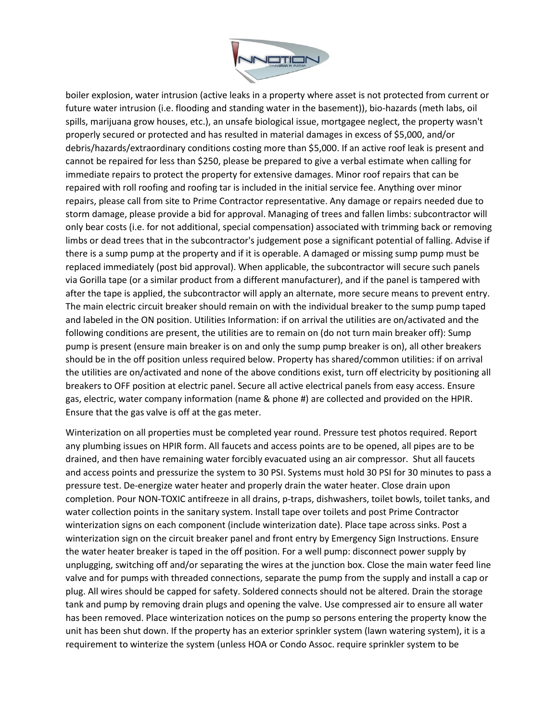

boiler explosion, water intrusion (active leaks in a property where asset is not protected from current or future water intrusion (i.e. flooding and standing water in the basement)), bio-hazards (meth labs, oil spills, marijuana grow houses, etc.), an unsafe biological issue, mortgagee neglect, the property wasn't properly secured or protected and has resulted in material damages in excess of \$5,000, and/or debris/hazards/extraordinary conditions costing more than \$5,000. If an active roof leak is present and cannot be repaired for less than \$250, please be prepared to give a verbal estimate when calling for immediate repairs to protect the property for extensive damages. Minor roof repairs that can be repaired with roll roofing and roofing tar is included in the initial service fee. Anything over minor repairs, please call from site to Prime Contractor representative. Any damage or repairs needed due to storm damage, please provide a bid for approval. Managing of trees and fallen limbs: subcontractor will only bear costs (i.e. for not additional, special compensation) associated with trimming back or removing limbs or dead trees that in the subcontractor's judgement pose a significant potential of falling. Advise if there is a sump pump at the property and if it is operable. A damaged or missing sump pump must be replaced immediately (post bid approval). When applicable, the subcontractor will secure such panels via Gorilla tape (or a similar product from a different manufacturer), and if the panel is tampered with after the tape is applied, the subcontractor will apply an alternate, more secure means to prevent entry. The main electric circuit breaker should remain on with the individual breaker to the sump pump taped and labeled in the ON position. Utilities Information: if on arrival the utilities are on/activated and the following conditions are present, the utilities are to remain on (do not turn main breaker off): Sump pump is present (ensure main breaker is on and only the sump pump breaker is on), all other breakers should be in the off position unless required below. Property has shared/common utilities: if on arrival the utilities are on/activated and none of the above conditions exist, turn off electricity by positioning all breakers to OFF position at electric panel. Secure all active electrical panels from easy access. Ensure gas, electric, water company information (name & phone #) are collected and provided on the HPIR. Ensure that the gas valve is off at the gas meter.

Winterization on all properties must be completed year round. Pressure test photos required. Report any plumbing issues on HPIR form. All faucets and access points are to be opened, all pipes are to be drained, and then have remaining water forcibly evacuated using an air compressor. Shut all faucets and access points and pressurize the system to 30 PSI. Systems must hold 30 PSI for 30 minutes to pass a pressure test. De-energize water heater and properly drain the water heater. Close drain upon completion. Pour NON-TOXIC antifreeze in all drains, p-traps, dishwashers, toilet bowls, toilet tanks, and water collection points in the sanitary system. Install tape over toilets and post Prime Contractor winterization signs on each component (include winterization date). Place tape across sinks. Post a winterization sign on the circuit breaker panel and front entry by Emergency Sign Instructions. Ensure the water heater breaker is taped in the off position. For a well pump: disconnect power supply by unplugging, switching off and/or separating the wires at the junction box. Close the main water feed line valve and for pumps with threaded connections, separate the pump from the supply and install a cap or plug. All wires should be capped for safety. Soldered connects should not be altered. Drain the storage tank and pump by removing drain plugs and opening the valve. Use compressed air to ensure all water has been removed. Place winterization notices on the pump so persons entering the property know the unit has been shut down. If the property has an exterior sprinkler system (lawn watering system), it is a requirement to winterize the system (unless HOA or Condo Assoc. require sprinkler system to be